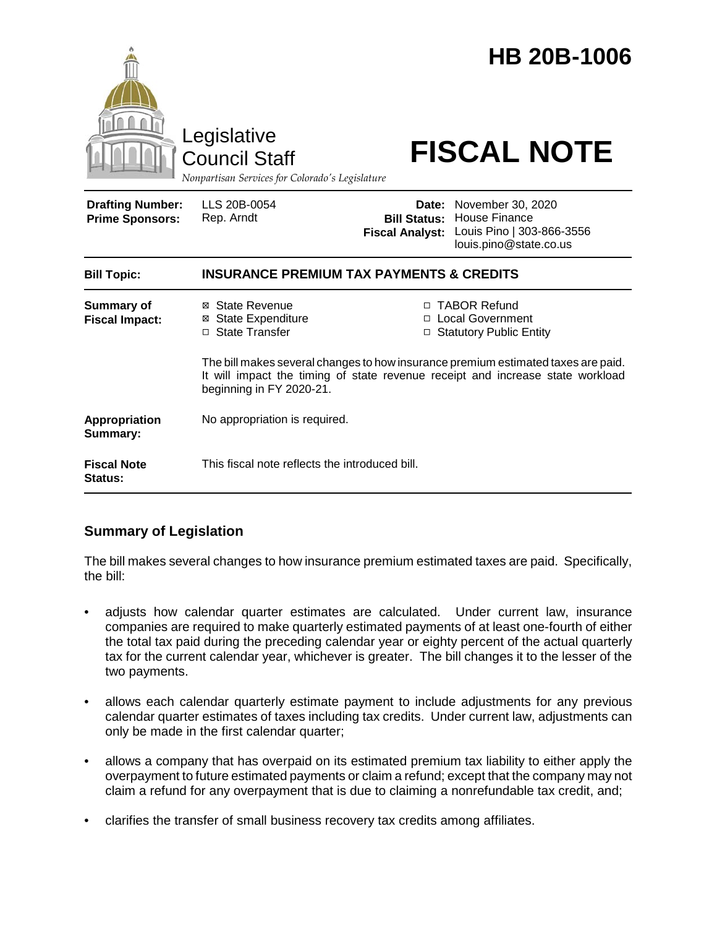|                                                   | Legislative<br><b>Council Staff</b><br>Nonpartisan Services for Colorado's Legislature                                                                                                          |                                               | <b>HB 20B-1006</b><br><b>FISCAL NOTE</b>                                                               |
|---------------------------------------------------|-------------------------------------------------------------------------------------------------------------------------------------------------------------------------------------------------|-----------------------------------------------|--------------------------------------------------------------------------------------------------------|
| <b>Drafting Number:</b><br><b>Prime Sponsors:</b> | LLS 20B-0054<br>Rep. Arndt                                                                                                                                                                      | <b>Bill Status:</b><br><b>Fiscal Analyst:</b> | Date: November 30, 2020<br><b>House Finance</b><br>Louis Pino   303-866-3556<br>louis.pino@state.co.us |
| <b>Bill Topic:</b>                                | <b>INSURANCE PREMIUM TAX PAYMENTS &amp; CREDITS</b>                                                                                                                                             |                                               |                                                                                                        |
| <b>Summary of</b><br><b>Fiscal Impact:</b>        | ⊠ State Revenue<br><b>State Expenditure</b><br>⊠<br>□ State Transfer                                                                                                                            |                                               | □ TABOR Refund<br>□ Local Government<br>□ Statutory Public Entity                                      |
|                                                   | The bill makes several changes to how insurance premium estimated taxes are paid.<br>It will impact the timing of state revenue receipt and increase state workload<br>beginning in FY 2020-21. |                                               |                                                                                                        |
| Appropriation<br>Summary:                         | No appropriation is required.                                                                                                                                                                   |                                               |                                                                                                        |
| <b>Fiscal Note</b><br>Status:                     | This fiscal note reflects the introduced bill.                                                                                                                                                  |                                               |                                                                                                        |

# **Summary of Legislation**

The bill makes several changes to how insurance premium estimated taxes are paid. Specifically, the bill:

- adjusts how calendar quarter estimates are calculated. Under current law, insurance companies are required to make quarterly estimated payments of at least one-fourth of either the total tax paid during the preceding calendar year or eighty percent of the actual quarterly tax for the current calendar year, whichever is greater. The bill changes it to the lesser of the two payments.
- allows each calendar quarterly estimate payment to include adjustments for any previous calendar quarter estimates of taxes including tax credits. Under current law, adjustments can only be made in the first calendar quarter;
- allows a company that has overpaid on its estimated premium tax liability to either apply the overpayment to future estimated payments or claim a refund; except that the company may not claim a refund for any overpayment that is due to claiming a nonrefundable tax credit, and;
- clarifies the transfer of small business recovery tax credits among affiliates.